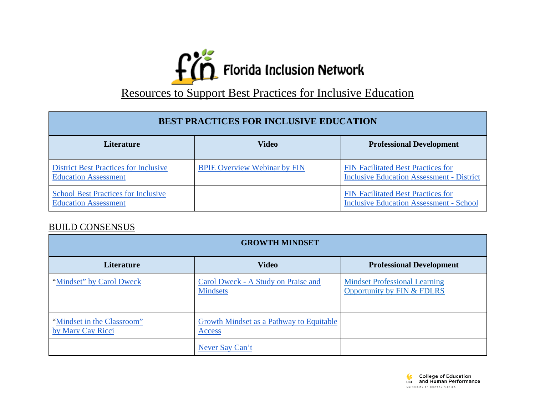

## Resources to Support Best Practices for Inclusive Education

| <b>BEST PRACTICES FOR INCLUSIVE EDUCATION</b>                               |                                     |                                                                                               |
|-----------------------------------------------------------------------------|-------------------------------------|-----------------------------------------------------------------------------------------------|
| <b>Literature</b>                                                           | <b>Video</b>                        | <b>Professional Development</b>                                                               |
| <b>District Best Practices for Inclusive</b><br><b>Education Assessment</b> | <b>BPIE Overview Webinar by FIN</b> | <b>FIN Facilitated Best Practices for</b><br><b>Inclusive Education Assessment - District</b> |
| <b>School Best Practices for Inclusive</b><br><b>Education Assessment</b>   |                                     | <b>FIN Facilitated Best Practices for</b><br><b>Inclusive Education Assessment - School</b>   |

## BUILD CONSENSUS

| <b>GROWTH MINDSET</b>                           |                                                           |                                                                    |
|-------------------------------------------------|-----------------------------------------------------------|--------------------------------------------------------------------|
| <b>Literature</b>                               | <b>Video</b>                                              | <b>Professional Development</b>                                    |
| "Mindset" by Carol Dweck                        | Carol Dweck - A Study on Praise and<br><b>Mindsets</b>    | <b>Mindset Professional Learning</b><br>Opportunity by FIN & FDLRS |
| "Mindset in the Classroom"<br>by Mary Cay Ricci | <b>Growth Mindset as a Pathway to Equitable</b><br>Access |                                                                    |
|                                                 | Never Say Can't                                           |                                                                    |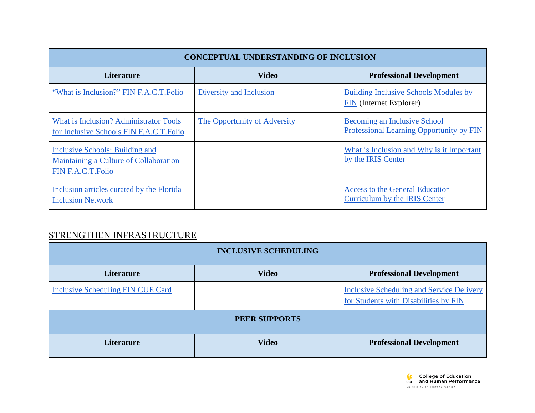| <b>CONCEPTUAL UNDERSTANDING OF INCLUSION</b>                                                   |                              |                                                                                |
|------------------------------------------------------------------------------------------------|------------------------------|--------------------------------------------------------------------------------|
| <b>Literature</b>                                                                              | <b>Video</b>                 | <b>Professional Development</b>                                                |
| "What is Inclusion?" FIN F.A.C.T.Folio                                                         | Diversity and Inclusion      | <b>Building Inclusive Schools Modules by</b><br><b>FIN</b> (Internet Explorer) |
| What is Inclusion? Administrator Tools<br>for Inclusive Schools FIN F.A.C.T.Folio              | The Opportunity of Adversity | Becoming an Inclusive School<br>Professional Learning Opportunity by FIN       |
| Inclusive Schools: Building and<br>Maintaining a Culture of Collaboration<br>FIN F.A.C.T.Folio |                              | What is Inclusion and Why is it Important<br>by the IRIS Center                |
| Inclusion articles curated by the Florida<br><b>Inclusion Network</b>                          |                              | <b>Access to the General Education</b><br>Curriculum by the IRIS Center        |

## STRENGTHEN INFRASTRUCTURE

| <b>INCLUSIVE SCHEDULING</b>              |              |                                                                                           |
|------------------------------------------|--------------|-------------------------------------------------------------------------------------------|
| <b>Literature</b>                        | <b>Video</b> | <b>Professional Development</b>                                                           |
| <b>Inclusive Scheduling FIN CUE Card</b> |              | <b>Inclusive Scheduling and Service Delivery</b><br>for Students with Disabilities by FIN |
| PEER SUPPORTS                            |              |                                                                                           |
| <b>Literature</b>                        | <b>Video</b> | <b>Professional Development</b>                                                           |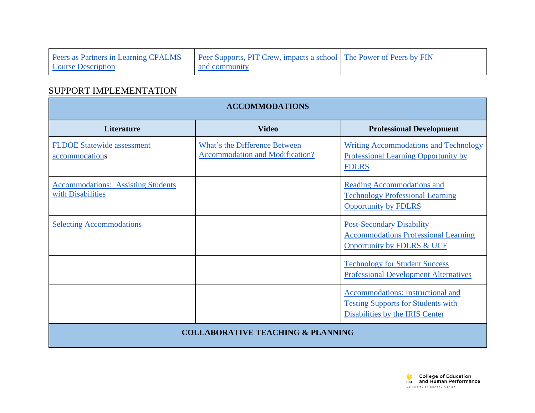| Peers as Partners in Learning CPALMS | <b>Pearly Supports, PIT Crew, impacts a school</b> The Power of Peers by FIN |  |
|--------------------------------------|------------------------------------------------------------------------------|--|
| <b>Course Description</b>            | and community                                                                |  |

## SUPPORT IMPLEMENTATION

| <b>ACCOMMODATIONS</b>                                          |                                                                         |                                                                                                                   |
|----------------------------------------------------------------|-------------------------------------------------------------------------|-------------------------------------------------------------------------------------------------------------------|
| <b>Literature</b>                                              | <b>Video</b>                                                            | <b>Professional Development</b>                                                                                   |
| <b>FLDOE Statewide assessment</b><br>accommodations            | What's the Difference Between<br><b>Accommodation and Modification?</b> | <b>Writing Accommodations and Technology</b><br>Professional Learning Opportunity by<br><b>FDLRS</b>              |
| <b>Accommodations: Assisting Students</b><br>with Disabilities |                                                                         | <b>Reading Accommodations and</b><br><b>Technology Professional Learning</b><br><b>Opportunity by FDLRS</b>       |
| <b>Selecting Accommodations</b>                                |                                                                         | <b>Post-Secondary Disability</b><br><b>Accommodations Professional Learning</b><br>Opportunity by FDLRS & UCF     |
|                                                                |                                                                         | <b>Technology for Student Success</b><br><b>Professional Development Alternatives</b>                             |
|                                                                |                                                                         | Accommodations: Instructional and<br><b>Testing Supports for Students with</b><br>Disabilities by the IRIS Center |
| <b>COLLABORATIVE TEACHING &amp; PLANNING</b>                   |                                                                         |                                                                                                                   |

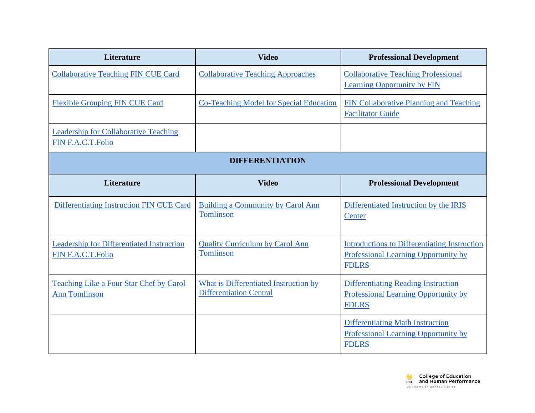| <b>Literature</b>                                                        | <b>Video</b>                                                            | <b>Professional Development</b>                                                                             |
|--------------------------------------------------------------------------|-------------------------------------------------------------------------|-------------------------------------------------------------------------------------------------------------|
| <b>Collaborative Teaching FIN CUE Card</b>                               | <b>Collaborative Teaching Approaches</b>                                | <b>Collaborative Teaching Professional</b><br><b>Learning Opportunity by FIN</b>                            |
| <b>Flexible Grouping FIN CUE Card</b>                                    | <b>Co-Teaching Model for Special Education</b>                          | FIN Collaborative Planning and Teaching<br><b>Facilitator Guide</b>                                         |
| <b>Leadership for Collaborative Teaching</b><br><b>FIN F.A.C.T.Folio</b> |                                                                         |                                                                                                             |
|                                                                          | <b>DIFFERENTIATION</b>                                                  |                                                                                                             |
| Literature                                                               | <b>Video</b>                                                            | <b>Professional Development</b>                                                                             |
| Differentiating Instruction FIN CUE Card                                 | Building a Community by Carol Ann<br>Tomlinson                          | Differentiated Instruction by the IRIS<br>Center                                                            |
| <b>Leadership for Differentiated Instruction</b><br>FIN F.A.C.T.Folio    | <b>Quality Curriculum by Carol Ann</b><br>Tomlinson                     | <b>Introductions to Differentiating Instruction</b><br>Professional Learning Opportunity by<br><b>FDLRS</b> |
| <b>Teaching Like a Four Star Chef by Carol</b><br><b>Ann Tomlinson</b>   | What is Differentiated Instruction by<br><b>Differentiation Central</b> | <b>Differentiating Reading Instruction</b><br>Professional Learning Opportunity by<br><b>FDLRS</b>          |
|                                                                          |                                                                         | <b>Differentiating Math Instruction</b><br>Professional Learning Opportunity by<br><b>FDLRS</b>             |

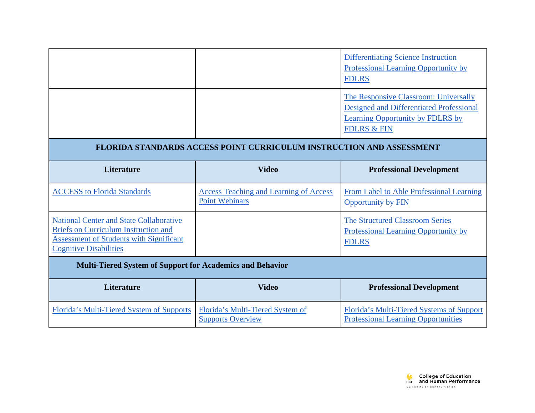|                                                                                                                                                                                  |                                                                        | <b>Differentiating Science Instruction</b><br>Professional Learning Opportunity by<br><b>FDLRS</b>                                                            |
|----------------------------------------------------------------------------------------------------------------------------------------------------------------------------------|------------------------------------------------------------------------|---------------------------------------------------------------------------------------------------------------------------------------------------------------|
|                                                                                                                                                                                  |                                                                        | The Responsive Classroom: Universally<br><b>Designed and Differentiated Professional</b><br><b>Learning Opportunity by FDLRS by</b><br><b>FDLRS &amp; FIN</b> |
|                                                                                                                                                                                  | FLORIDA STANDARDS ACCESS POINT CURRICULUM INSTRUCTION AND ASSESSMENT   |                                                                                                                                                               |
| <b>Literature</b>                                                                                                                                                                | <b>Video</b>                                                           | <b>Professional Development</b>                                                                                                                               |
| <b>ACCESS</b> to Florida Standards                                                                                                                                               | <b>Access Teaching and Learning of Access</b><br><b>Point Webinars</b> | From Label to Able Professional Learning<br>Opportunity by FIN                                                                                                |
| <b>National Center and State Collaborative</b><br><b>Briefs on Curriculum Instruction and</b><br><b>Assessment of Students with Significant</b><br><b>Cognitive Disabilities</b> |                                                                        | <b>The Structured Classroom Series</b><br>Professional Learning Opportunity by<br><b>FDLRS</b>                                                                |
| <b>Multi-Tiered System of Support for Academics and Behavior</b>                                                                                                                 |                                                                        |                                                                                                                                                               |
| <b>Literature</b>                                                                                                                                                                | <b>Video</b>                                                           | <b>Professional Development</b>                                                                                                                               |
| Florida's Multi-Tiered System of Supports                                                                                                                                        | Florida's Multi-Tiered System of<br><b>Supports Overview</b>           | Florida's Multi-Tiered Systems of Support<br><b>Professional Learning Opportunities</b>                                                                       |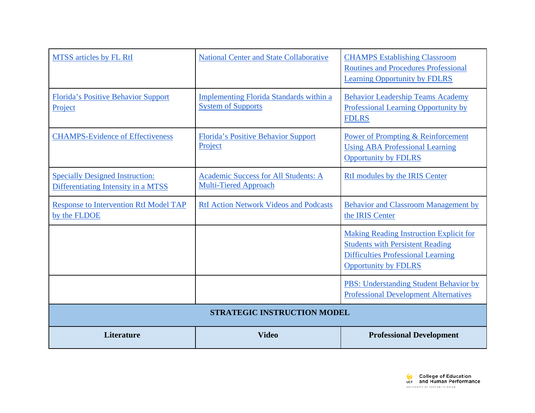| <b>MTSS</b> articles by FL RtI                                                | <b>National Center and State Collaborative</b>                              | <b>CHAMPS Establishing Classroom</b><br><b>Routines and Procedures Professional</b><br><b>Learning Opportunity by FDLRS</b>                                           |
|-------------------------------------------------------------------------------|-----------------------------------------------------------------------------|-----------------------------------------------------------------------------------------------------------------------------------------------------------------------|
| Florida's Positive Behavior Support<br>Project                                | <b>Implementing Florida Standards within a</b><br><b>System of Supports</b> | <b>Behavior Leadership Teams Academy</b><br>Professional Learning Opportunity by<br><b>FDLRS</b>                                                                      |
| <b>CHAMPS-Evidence of Effectiveness</b>                                       | <b>Florida's Positive Behavior Support</b><br>Project                       | Power of Prompting & Reinforcement<br><b>Using ABA Professional Learning</b><br><b>Opportunity by FDLRS</b>                                                           |
| <b>Specially Designed Instruction:</b><br>Differentiating Intensity in a MTSS | Academic Success for All Students: A<br><b>Multi-Tiered Approach</b>        | RtI modules by the IRIS Center                                                                                                                                        |
| <b>Response to Intervention RtI Model TAP</b><br>by the FLDOE                 | <b>RtI Action Network Videos and Podcasts</b>                               | <b>Behavior and Classroom Management by</b><br>the IRIS Center                                                                                                        |
|                                                                               |                                                                             | <b>Making Reading Instruction Explicit for</b><br><b>Students with Persistent Reading</b><br><b>Difficulties Professional Learning</b><br><b>Opportunity by FDLRS</b> |
|                                                                               |                                                                             | PBS: Understanding Student Behavior by<br><b>Professional Development Alternatives</b>                                                                                |
| <b>STRATEGIC INSTRUCTION MODEL</b>                                            |                                                                             |                                                                                                                                                                       |
| Literature                                                                    | <b>Video</b>                                                                | <b>Professional Development</b>                                                                                                                                       |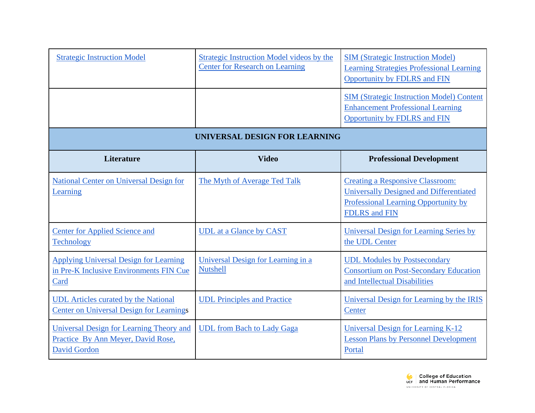| <b>Strategic Instruction Model</b>                                                                    | <b>Strategic Instruction Model videos by the</b><br><b>Center for Research on Learning</b> | <b>SIM</b> (Strategic Instruction Model)<br><b>Learning Strategies Professional Learning</b><br>Opportunity by FDLRS and FIN                              |
|-------------------------------------------------------------------------------------------------------|--------------------------------------------------------------------------------------------|-----------------------------------------------------------------------------------------------------------------------------------------------------------|
|                                                                                                       |                                                                                            | <b>SIM (Strategic Instruction Model) Content</b><br><b>Enhancement Professional Learning</b><br>Opportunity by FDLRS and FIN                              |
|                                                                                                       | UNIVERSAL DESIGN FOR LEARNING                                                              |                                                                                                                                                           |
| <b>Literature</b>                                                                                     | <b>Video</b>                                                                               | <b>Professional Development</b>                                                                                                                           |
| <b>National Center on Universal Design for</b><br>Learning                                            | The Myth of Average Ted Talk                                                               | <b>Creating a Responsive Classroom:</b><br>Universally Designed and Differentiated<br>Professional Learning Opportunity by<br><b>FDLRS</b> and <b>FIN</b> |
| <b>Center for Applied Science and</b><br><b>Technology</b>                                            | <b>UDL</b> at a Glance by CAST                                                             | <b>Universal Design for Learning Series by</b><br>the UDL Center                                                                                          |
| <b>Applying Universal Design for Learning</b><br>in Pre-K Inclusive Environments FIN Cue<br>Card      | Universal Design for Learning in a<br><b>Nutshell</b>                                      | <b>UDL Modules by Postsecondary</b><br><b>Consortium on Post-Secondary Education</b><br>and Intellectual Disabilities                                     |
| <b>UDL</b> Articles curated by the National<br><b>Center on Universal Design for Learnings</b>        | <b>UDL</b> Principles and Practice                                                         | Universal Design for Learning by the IRIS<br>Center                                                                                                       |
| Universal Design for Learning Theory and<br>Practice By Ann Meyer, David Rose,<br><b>David Gordon</b> | <b>UDL</b> from Bach to Lady Gaga                                                          | Universal Design for Learning K-12<br><b>Lesson Plans by Personnel Development</b><br>Portal                                                              |